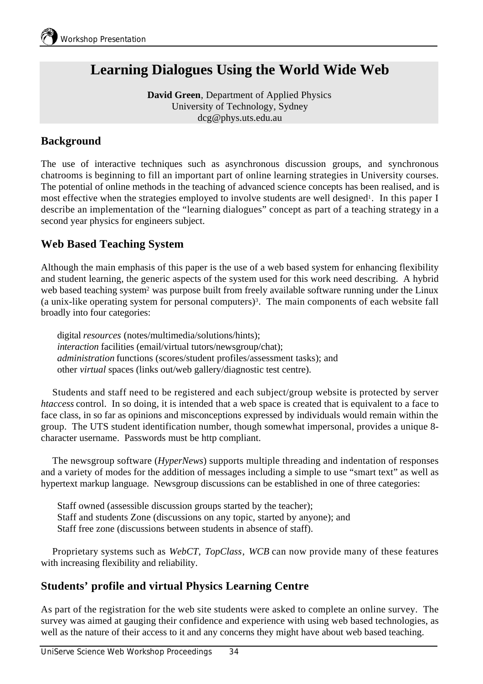# **Learning Dialogues Using the World Wide Web**

**David Green**, Department of Applied Physics University of Technology, Sydney dcg@phys.uts.edu.au

## **Background**

The use of interactive techniques such as asynchronous discussion groups, and synchronous chatrooms is beginning to fill an important part of online learning strategies in University courses. The potential of online methods in the teaching of advanced science concepts has been realised, and is most effective when the strategies employed to involve students are well designed<sup>1</sup>. In this paper I describe an implementation of the "learning dialogues" concept as part of a teaching strategy in a second year physics for engineers subject.

# **Web Based Teaching System**

Although the main emphasis of this paper is the use of a web based system for enhancing flexibility and student learning, the generic aspects of the system used for this work need describing. A hybrid web based teaching system<sup>2</sup> was purpose built from freely available software running under the Linux (a unix-like operating system for personal computers)<sup>3</sup> . The main components of each website fall broadly into four categories:

digital *resources* (notes/multimedia/solutions/hints); *interaction* facilities (email/virtual tutors/newsgroup/chat); *administration* functions (scores/student profiles/assessment tasks); and other *virtual* spaces (links out/web gallery/diagnostic test centre).

Students and staff need to be registered and each subject/group website is protected by server *htaccess* control. In so doing, it is intended that a web space is created that is equivalent to a face to face class, in so far as opinions and misconceptions expressed by individuals would remain within the group. The UTS student identification number, though somewhat impersonal, provides a unique 8 character username. Passwords must be http compliant.

The newsgroup software (*HyperNews*) supports multiple threading and indentation of responses and a variety of modes for the addition of messages including a simple to use "smart text" as well as hypertext markup language. Newsgroup discussions can be established in one of three categories:

Staff owned (assessible discussion groups started by the teacher); Staff and students Zone (discussions on any topic, started by anyone); and Staff free zone (discussions between students in absence of staff).

Proprietary systems such as *WebCT*, *TopClass*, *WCB* can now provide many of these features with increasing flexibility and reliability.

#### **Students' profile and virtual Physics Learning Centre**

As part of the registration for the web site students were asked to complete an online survey. The survey was aimed at gauging their confidence and experience with using web based technologies, as well as the nature of their access to it and any concerns they might have about web based teaching.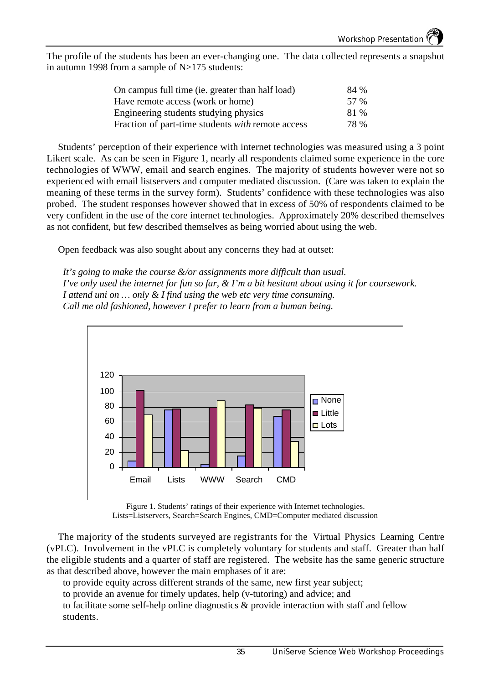The profile of the students has been an ever-changing one. The data collected represents a snapshot in autumn 1998 from a sample of N>175 students:

| On campus full time (ie. greater than half load)         | 84 % |
|----------------------------------------------------------|------|
| Have remote access (work or home)                        | 57 % |
| Engineering students studying physics                    | 81 % |
| Fraction of part-time students <i>with</i> remote access | 78 % |

Students' perception of their experience with internet technologies was measured using a 3 point Likert scale. As can be seen in Figure 1, nearly all respondents claimed some experience in the core technologies of WWW, email and search engines. The majority of students however were not so experienced with email listservers and computer mediated discussion. (Care was taken to explain the meaning of these terms in the survey form). Students' confidence with these technologies was also probed. The student responses however showed that in excess of 50% of respondents claimed to be very confident in the use of the core internet technologies. Approximately 20% described themselves as not confident, but few described themselves as being worried about using the web.

Open feedback was also sought about any concerns they had at outset:

*It's going to make the course &/or assignments more difficult than usual. I've only used the internet for fun so far, & I'm a bit hesitant about using it for coursework. I attend uni on … only & I find using the web etc very time consuming. Call me old fashioned, however I prefer to learn from a human being.*



Figure 1. Students' ratings of their experience with Internet technologies. Lists=Listservers, Search=Search Engines, CMD=Computer mediated discussion

The majority of the students surveyed are registrants for the Virtual Physics Learning Centre (vPLC). Involvement in the vPLC is completely voluntary for students and staff. Greater than half the eligible students and a quarter of staff are registered. The website has the same generic structure as that described above, however the main emphases of it are:

to provide equity across different strands of the same, new first year subject;

to provide an avenue for timely updates, help (v-tutoring) and advice; and

to facilitate some self-help online diagnostics & provide interaction with staff and fellow students.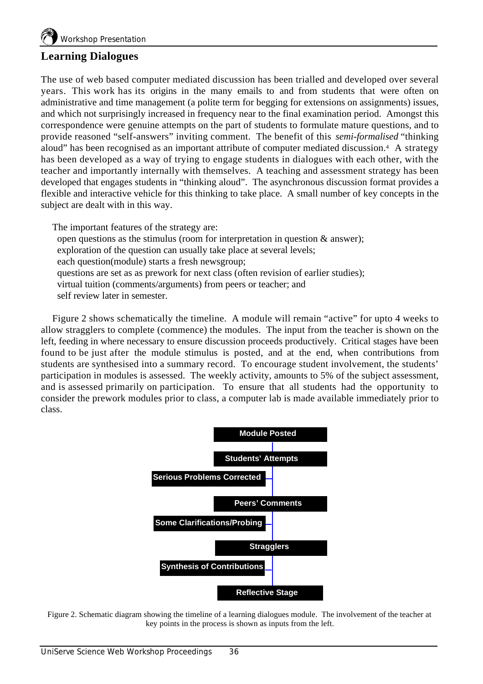## **Learning Dialogues**

The use of web based computer mediated discussion has been trialled and developed over several years. This work has its origins in the many emails to and from students that were often on administrative and time management (a polite term for begging for extensions on assignments) issues, and which not surprisingly increased in frequency near to the final examination period. Amongst this correspondence were genuine attempts on the part of students to formulate mature questions, and to provide reasoned "self-answers" inviting comment. The benefit of this *semi-formalised* "thinking aloud" has been recognised as an important attribute of computer mediated discussion.<sup>4</sup> A strategy has been developed as a way of trying to engage students in dialogues with each other, with the teacher and importantly internally with themselves. A teaching and assessment strategy has been developed that engages students in "thinking aloud". The asynchronous discussion format provides a flexible and interactive vehicle for this thinking to take place. A small number of key concepts in the subject are dealt with in this way.

The important features of the strategy are: open questions as the stimulus (room for interpretation in question  $\&$  answer); exploration of the question can usually take place at several levels; each question(module) starts a fresh newsgroup; questions are set as as prework for next class (often revision of earlier studies); virtual tuition (comments/arguments) from peers or teacher; and self review later in semester.

Figure 2 shows schematically the timeline. A module will remain "active" for upto 4 weeks to allow stragglers to complete (commence) the modules. The input from the teacher is shown on the left, feeding in where necessary to ensure discussion proceeds productively. Critical stages have been found to be just after the module stimulus is posted, and at the end, when contributions from students are synthesised into a summary record. To encourage student involvement, the students' participation in modules is assessed. The weekly activity, amounts to 5% of the subject assessment, and is assessed primarily on participation. To ensure that all students had the opportunity to consider the prework modules prior to class, a computer lab is made available immediately prior to class.



Figure 2. Schematic diagram showing the timeline of a learning dialogues module. The involvement of the teacher at key points in the process is shown as inputs from the left.